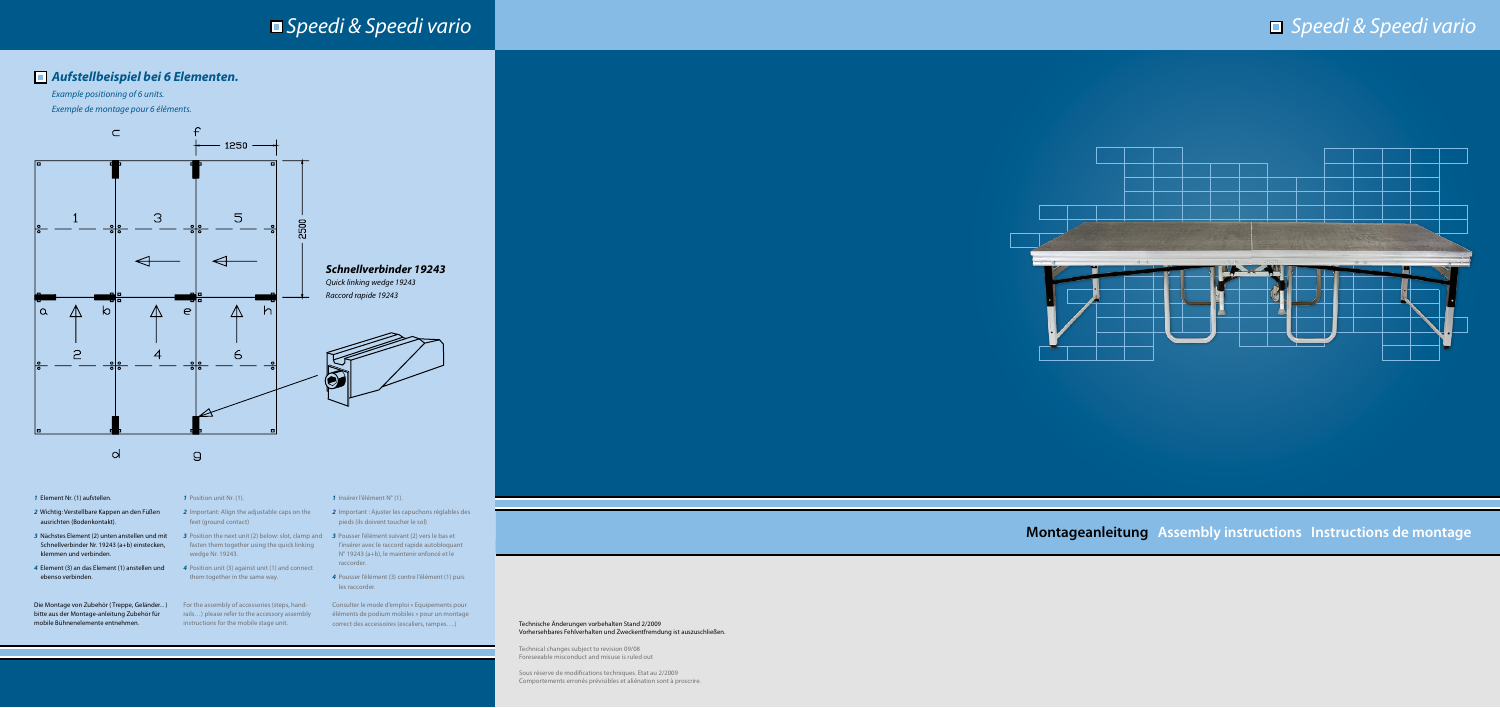

**Montageanleitung Assembly instructions Instructions de montage** 

#### Technische Änderungen vorbehalten Stand 2/2009 Vorhersehbares Fehlverhalten und Zweckentfremdung ist auszuschließen.

Technical changes subject to revision 09/08 Foreseeable misconduct and misuse is ruled out

Sous réserve de modifications techniques. Etat au 2/2009 Comportements erronés prévisibles et aliénation sont à proscrire.

# *Speedi & Speedi vario*

# *Aufstellbeispiel bei 6 Elementen.*

*Example positioning of 6 units. Exemple de montage pour 6 éléments.*

- 2 Important: Align the adjustable caps on the **2** Important : Ajuster les capuchons réglables des pieds (ils doivent toucher le sol)
- fasten them together using the quick linking statifies of linsérer avec le raccord rapide autobloquant N° 19243 (a+b), le maintenir enfoncé et le raccorder.
	- *4* Pousser l'élément (3) contre l'élément (1) puis les raccorder.
- *1* Element Nr. (1) aufstellen.
- *2* Wichtig: Verstellbare Kappen an den Füßen ausrichten (Bodenkontakt).
- 3 Nächstes Element (2) unten anstellen und mit 3 Position the next unit (2) below: slot, clamp and 3 Pousser l'élément suivant (2) vers le bas et Schnellverbinder Nr. 19243 (a+b) einstecken, klemmen und verbinden.
- *4* Element (3) an das Element (1) anstellen und ebenso verbinden.

Die Montage von Zubehör ( Treppe, Geländer... ) bitte aus der Montage-anleitung Zubehör für mobile Bühnenelemente entnehmen.

#### *1* Insérer l'élément N° (1).

Consulter le mode d'emploi « Equipements pour éléments de podium mobiles » pour un montage correct des accessoires (escaliers, rampes….)

*1* Position unit Nr. (1).

feet (ground contact)

wedge Nr. 19243.

*4* Position unit (3) against unit (1) and connect them together in the same way.

For the assembly of accessories (steps, handrails…) please refer to the accessory assembly instructions for the mobile stage unit.